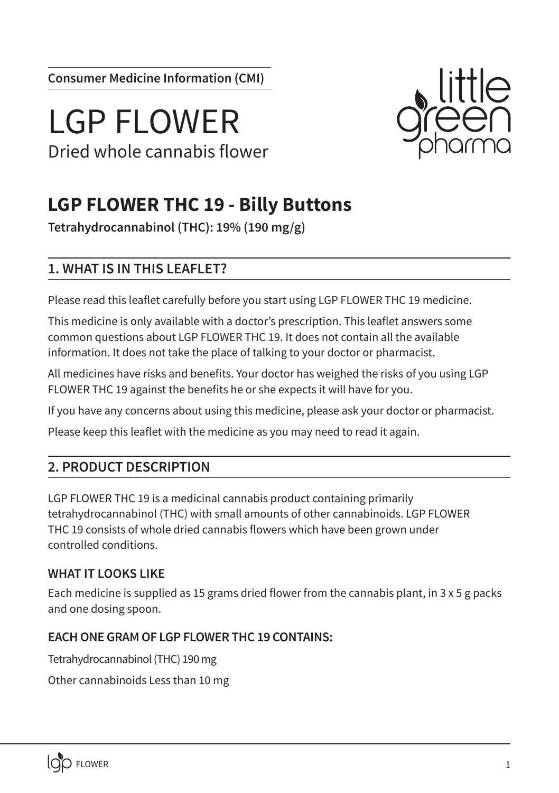**Consumer Medicine Information (CMI)**

# LGP FLOWER Dried whole cannabis flower



# **LGP FLOWER THC 19 - Billy Buttons**

**Tetrahydrocannabinol (THC): 19% (190 mg/g)**

# **1. WHAT IS IN THIS LEAFLET?**

Please read this leaflet carefully before you start using LGP FLOWER THC 19 medicine.

This medicine is only available with a doctor's prescription. This leaflet answers some common questions about LGP FLOWER THC 19. It does not contain all the available information. It does not take the place of talking to your doctor or pharmacist.

All medicines have risks and benefits. Your doctor has weighed the risks of you using LGP FLOWER THC 19 against the benefits he or she expects it will have for you.

If you have any concerns about using this medicine, please ask your doctor or pharmacist.

Please keep this leaflet with the medicine as you may need to read it again.

# **2. PRODUCT DESCRIPTION**

LGP FLOWER THC 19 is a medicinal cannabis product containing primarily tetrahydrocannabinol (THC) with small amounts of other cannabinoids. LGP FLOWER THC 19 consists of whole dried cannabis flowers which have been grown under controlled conditions.

### **WHAT IT LOOKS LIKE**

Each medicine is supplied as 15 grams dried flower from the cannabis plant, in  $3 \times 5$  g packs and one dosing spoon.

### **EACH ONE GRAM OF LGP FLOWER THC 19 CONTAINS:**

Tetrahydrocannabinol (THC) 190 mg

Other cannabinoids Less than 10 mg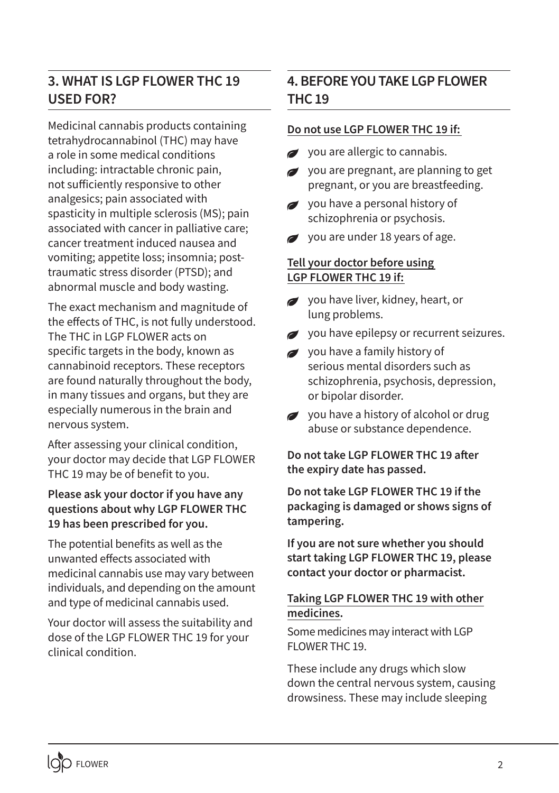# **3. WHAT IS LGP FLOWER THC 19 USED FOR?**

Medicinal cannabis products containing tetrahydrocannabinol (THC) may have a role in some medical conditions including: intractable chronic pain, not sufficiently responsive to other analgesics; pain associated with spasticity in multiple sclerosis (MS); pain associated with cancer in palliative care; cancer treatment induced nausea and vomiting; appetite loss; insomnia; posttraumatic stress disorder (PTSD); and abnormal muscle and body wasting.

The exact mechanism and magnitude of the effects of THC, is not fully understood. The THC in LGP FLOWER acts on specific targets in the body, known as cannabinoid receptors. These receptors are found naturally throughout the body, in many tissues and organs, but they are especially numerous in the brain and nervous system.

After assessing your clinical condition, your doctor may decide that LGP FLOWER THC 19 may be of benefit to you.

#### **Please ask your doctor if you have any questions about why LGP FLOWER THC 19 has been prescribed for you.**

The potential benefits as well as the unwanted effects associated with medicinal cannabis use may vary between individuals, and depending on the amount and type of medicinal cannabis used.

Your doctor will assess the suitability and dose of the LGP FLOWER THC 19 for your clinical condition.

# **4. BEFORE YOU TAKE LGP FLOWER THC 19**

#### **Do not use LGP FLOWER THC 19 if:**

- you are allergic to cannabis.
- you are pregnant, are planning to get  $\overline{a}$ pregnant, or you are breastfeeding.
- vou have a personal history of schizophrenia or psychosis.
- you are under 18 years of age.

#### **Tell your doctor before using LGP FLOWER THC 19 if:**

- you have liver, kidney, heart, or lung problems.
- you have epilepsy or recurrent seizures.
- you have a family history of serious mental disorders such as schizophrenia, psychosis, depression, or bipolar disorder.
- you have a history of alcohol or drug abuse or substance dependence.

**Do not take LGP FLOWER THC 19 after the expiry date has passed.**

**Do not take LGP FLOWER THC 19 if the packaging is damaged or shows signs of tampering.**

**If you are not sure whether you should start taking LGP FLOWER THC 19, please contact your doctor or pharmacist.**

#### **Taking LGP FLOWER THC 19 with other medicines.**

Some medicines may interact with LGP FLOWER THC 19.

These include any drugs which slow down the central nervous system, causing drowsiness. These may include sleeping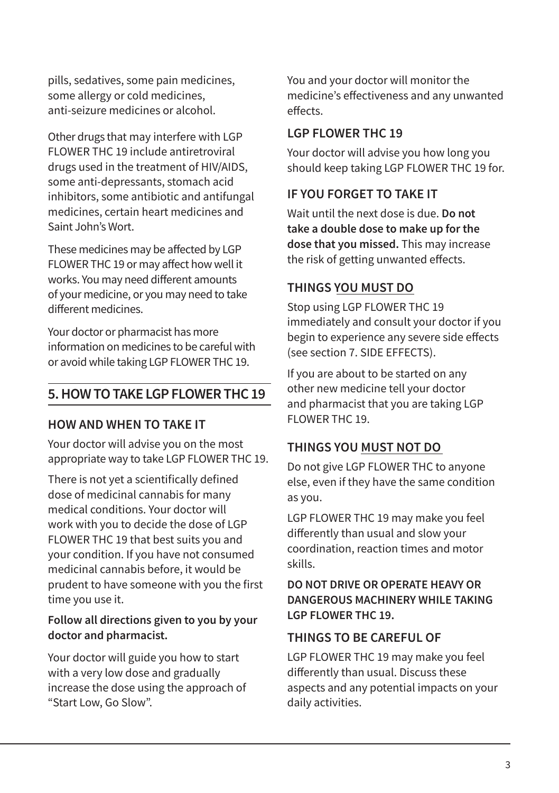pills, sedatives, some pain medicines, some allergy or cold medicines, anti-seizure medicines or alcohol.

Other drugs that may interfere with LGP FLOWER THC 19 include antiretroviral drugs used in the treatment of HIV/AIDS, some anti-depressants, stomach acid inhibitors, some antibiotic and antifungal medicines, certain heart medicines and Saint John's Wort.

These medicines may be affected by LGP FLOWER THC 19 or may affect how well it works. You may need different amounts of your medicine, or you may need to take different medicines.

Your doctor or pharmacist has more information on medicines to be careful with or avoid while taking LGP FLOWER THC 19.

# **5. HOW TO TAKE LGP FLOWER THC 19**

#### **HOW AND WHEN TO TAKE IT**

Your doctor will advise you on the most appropriate way to take LGP FLOWER THC 19.

There is not yet a scientifically defined dose of medicinal cannabis for many medical conditions. Your doctor will work with you to decide the dose of LGP FLOWER THC 19 that best suits you and your condition. If you have not consumed medicinal cannabis before, it would be prudent to have someone with you the first time you use it.

#### **Follow all directions given to you by your doctor and pharmacist.**

Your doctor will guide you how to start with a very low dose and gradually increase the dose using the approach of "Start Low, Go Slow".

You and your doctor will monitor the medicine's effectiveness and any unwanted effects.

#### **LGP FLOWER THC 19**

Your doctor will advise you how long you should keep taking LGP FLOWER THC 19 for.

## **IF YOU FORGET TO TAKE IT**

Wait until the next dose is due. **Do not take a double dose to make up for the dose that you missed.** This may increase the risk of getting unwanted effects.

# **THINGS YOU MUST DO**

Stop using LGP FLOWER THC 19 immediately and consult your doctor if you begin to experience any severe side effects (see section 7. SIDE EFFECTS).

If you are about to be started on any other new medicine tell your doctor and pharmacist that you are taking LGP FLOWER THC 19.

# **THINGS YOU MUST NOT DO**

Do not give LGP FLOWER THC to anyone else, even if they have the same condition as you.

LGP FLOWER THC 19 may make you feel differently than usual and slow your coordination, reaction times and motor skills.

#### **DO NOT DRIVE OR OPERATE HEAVY OR DANGEROUS MACHINERY WHILE TAKING LGP FLOWER THC 19.**

### **THINGS TO BE CAREFUL OF**

LGP FLOWER THC 19 may make you feel differently than usual. Discuss these aspects and any potential impacts on your daily activities.